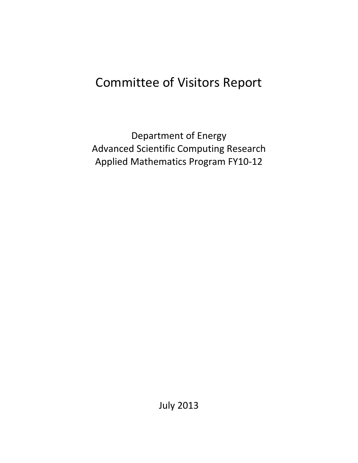# Committee of Visitors Report

Department of Energy Advanced Scientific Computing Research Applied Mathematics Program FY10-12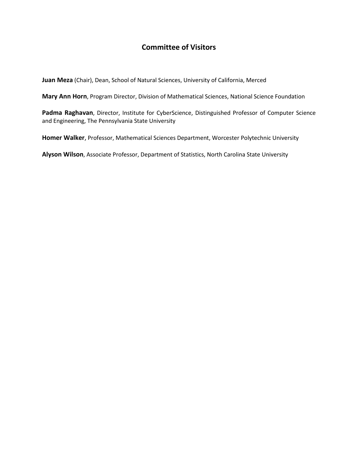# **Committee of Visitors**

**Juan Meza** (Chair), Dean, School of Natural Sciences, University of California, Merced

**Mary Ann Horn**, Program Director, Division of Mathematical Sciences, National Science Foundation

Padma Raghavan, Director, Institute for CyberScience, Distinguished Professor of Computer Science and Engineering, The Pennsylvania State University

**Homer Walker**, Professor, Mathematical Sciences Department, Worcester Polytechnic University

**Alyson Wilson**, Associate Professor, Department of Statistics, North Carolina State University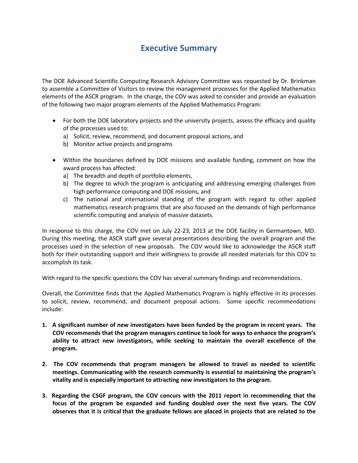# **Executive Summary**

The DOE Advanced Scientific Computing Research Advisory Committee was requested by Dr. Brinkman to assemble a Committee of Visitors to review the management processes for the Applied Mathematics elements of the ASCR program. In the charge, the COV was asked to consider and provide an evaluation of the following two major program elements of the Applied Mathematics Program:

- For both the DOE laboratory projects and the university projects, assess the efficacy and quality of the processes used to:
	- a) Solicit, review, recommend, and document proposal actions, and
	- b) Monitor active projects and programs
- Within the boundaries defined by DOE missions and available funding, comment on how the award process has affected:
	- a) The breadth and depth of portfolio elements,
	- b) The degree to which the program is anticipating and addressing emerging challenges from high performance computing and DOE missions, and
	- c) The national and international standing of the program with regard to other applied mathematics research programs that are also focused on the demands of high performance scientific computing and analysis of massive datasets.

In response to this charge, the COV met on July 22-23, 2013 at the DOE facility in Germantown, MD. During this meeting, the ASCR staff gave several presentations describing the overall program and the processes used in the selection of new proposals. The COV would like to acknowledge the ASCR staff both for their outstanding support and their willingness to provide all needed materials for this COV to accomplish its task.

With regard to the specific questions the COV has several summary findings and recommendations.

Overall, the Committee finds that the Applied Mathematics Program is highly effective in its processes to solicit, review, recommend, and document proposal actions. Some specific recommendations include:

- **1. A significant number of new investigators have been funded by the program in recent years. The COV recommends that the program managers continue to look for ways to enhance the program's ability to attract new investigators, while seeking to maintain the overall excellence of the program.**
- **2. The COV recommends that program managers be allowed to travel as needed to scientific meetings. Communicating with the research community is essential to maintaining the program's vitality and is especially important to attracting new investigators to the program.**
- **3. Regarding the CSGF program, the COV concurs with the 2011 report in recommending that the focus of the program be expanded and funding doubled over the next five years. The COV observes that it is critical that the graduate fellows are placed in projects that are related to the**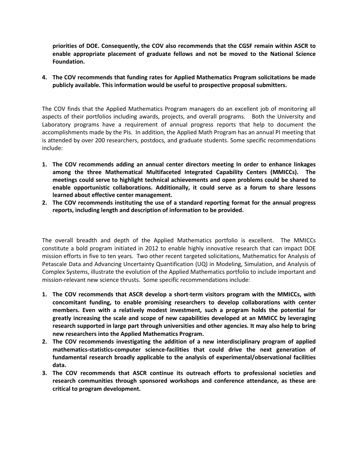**priorities of DOE. Consequently, the COV also recommends that the CGSF remain within ASCR to enable appropriate placement of graduate fellows and not be moved to the National Science Foundation.**

**4. The COV recommends that funding rates for Applied Mathematics Program solicitations be made publicly available. This information would be useful to prospective proposal submitters.** 

The COV finds that the Applied Mathematics Program managers do an excellent job of monitoring all aspects of their portfolios including awards, projects, and overall programs. Both the University and Laboratory programs have a requirement of annual progress reports that help to document the accomplishments made by the PIs. In addition, the Applied Math Program has an annual PI meeting that is attended by over 200 researchers, postdocs, and graduate students. Some specific recommendations include:

- **1. The COV recommends adding an annual center directors meeting In order to enhance linkages among the three Mathematical Multifaceted Integrated Capability Centers (MMICCs). The meetings could serve to highlight technical achievements and open problems could be shared to enable opportunistic collaborations. Additionally, it could serve as a forum to share lessons learned about effective center management.**
- **2. The COV recommends instituting the use of a standard reporting format for the annual progress reports, including length and description of information to be provided.**

The overall breadth and depth of the Applied Mathematics portfolio is excellent. The MMICCs constitute a bold program initiated in 2012 to enable highly innovative research that can impact DOE mission efforts in five to ten years. Two other recent targeted solicitations, Mathematics for Analysis of Petascale Data and Advancing Uncertainty Quantification (UQ) in Modeling, Simulation, and Analysis of Complex Systems, illustrate the evolution of the Applied Mathematics portfolio to include important and mission-relevant new science thrusts. Some specific recommendations include:

- **1. The COV recommends that ASCR develop a short-term visitors program with the MMICCs, with concomitant funding, to enable promising researchers to develop collaborations with center members. Even with a relatively modest investment, such a program holds the potential for greatly increasing the scale and scope of new capabilities developed at an MMICC by leveraging research supported in large part through universities and other agencies. It may also help to bring new researchers into the Applied Mathematics Program.**
- **2. The COV recommends investigating the addition of a new interdisciplinary program of applied mathematics-statistics-computer science-facilities that could drive the next generation of fundamental research broadly applicable to the analysis of experimental/observational facilities data.**
- **3. The COV recommends that ASCR continue its outreach efforts to professional societies and research communities through sponsored workshops and conference attendance, as these are critical to program development.**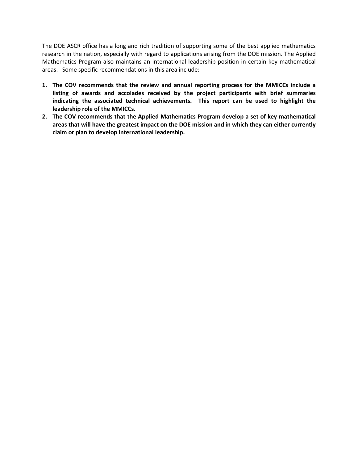The DOE ASCR office has a long and rich tradition of supporting some of the best applied mathematics research in the nation, especially with regard to applications arising from the DOE mission. The Applied Mathematics Program also maintains an international leadership position in certain key mathematical areas. Some specific recommendations in this area include:

- **1. The COV recommends that the review and annual reporting process for the MMICCs include a listing of awards and accolades received by the project participants with brief summaries indicating the associated technical achievements. This report can be used to highlight the leadership role of the MMICCs.**
- **2. The COV recommends that the Applied Mathematics Program develop a set of key mathematical areas that will have the greatest impact on the DOE mission and in which they can either currently claim or plan to develop international leadership.**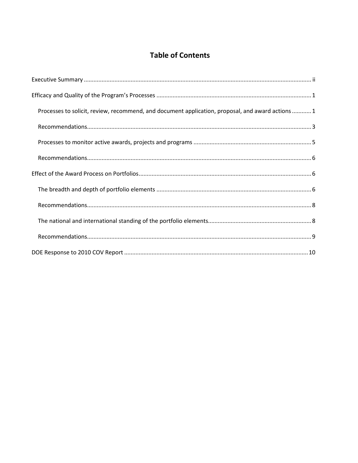# **Table of Contents**

| Processes to solicit, review, recommend, and document application, proposal, and award actions 1 |
|--------------------------------------------------------------------------------------------------|
|                                                                                                  |
|                                                                                                  |
|                                                                                                  |
|                                                                                                  |
|                                                                                                  |
|                                                                                                  |
|                                                                                                  |
|                                                                                                  |
|                                                                                                  |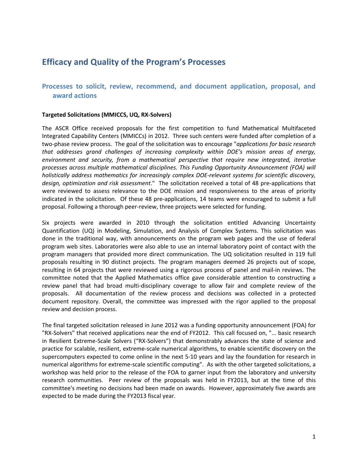# **Efficacy and Quality of the Program's Processes**

# **Processes to solicit, review, recommend, and document application, proposal, and award actions**

#### **Targeted Solicitations (MMICCS, UQ, RX-Solvers)**

The ASCR Office received proposals for the first competition to fund Mathematical Multifaceted Integrated Capability Centers (MMICCs) in 2012. Three such centers were funded after completion of a two-phase review process. The goal of the solicitation was to encourage "*applications for basic research that addresses grand challenges of increasing complexity within DOE's mission areas of energy, environment and security, from a mathematical perspective that require new integrated, iterative processes across multiple mathematical disciplines. This Funding Opportunity Announcement (FOA) will holistically address mathematics for increasingly complex DOE-relevant systems for scientific discovery, design, optimization and risk assessment*." The solicitation received a total of 48 pre-applications that were reviewed to assess relevance to the DOE mission and responsiveness to the areas of priority indicated in the solicitation. Of these 48 pre-applications, 14 teams were encouraged to submit a full proposal. Following a thorough peer-review, three projects were selected for funding.

Six projects were awarded in 2010 through the solicitation entitled Advancing Uncertainty Quantification (UQ) in Modeling, Simulation, and Analysis of Complex Systems. This solicitation was done in the traditional way, with announcements on the program web pages and the use of federal program web sites. Laboratories were also able to use an internal laboratory point of contact with the program managers that provided more direct communication. The UQ solicitation resulted in 119 full proposals resulting in 90 distinct projects. The program managers deemed 26 projects out of scope, resulting in 64 projects that were reviewed using a rigorous process of panel and mail-in reviews. The committee noted that the Applied Mathematics office gave considerable attention to constructing a review panel that had broad multi-disciplinary coverage to allow fair and complete review of the proposals. All documentation of the review process and decisions was collected in a protected document repository. Overall, the committee was impressed with the rigor applied to the proposal review and decision process.

The final targeted solicitation released in June 2012 was a funding opportunity announcement (FOA) for "RX-Solvers" that received applications near the end of FY2012. This call focused on, "... basic research in Resilient Extreme-Scale Solvers ("RX-Solvers") that demonstrably advances the state of science and practice for scalable, resilient, extreme-scale numerical algorithms, to enable scientific discovery on the supercomputers expected to come online in the next 5-10 years and lay the foundation for research in numerical algorithms for extreme-scale scientific computing". As with the other targeted solicitations, a workshop was held prior to the release of the FOA to garner input from the laboratory and university research communities. Peer review of the proposals was held in FY2013, but at the time of this committee's meeting no decisions had been made on awards. However, approximately five awards are expected to be made during the FY2013 fiscal year.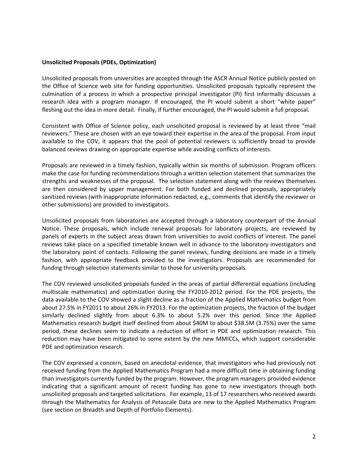#### **Unsolicited Proposals (PDEs, Optimization)**

Unsolicited proposals from universities are accepted through the ASCR Annual Notice publicly posted on the Office of Science web site for funding opportunities. Unsolicited proposals typically represent the culmination of a process in which a prospective principal investigator (PI) first informally discusses a research idea with a program manager. If encouraged, the PI would submit a short "white paper" fleshing out the idea in more detail. Finally, if further encouraged, the PI would submit a full proposal.

Consistent with Office of Science policy, each unsolicited proposal is reviewed by at least three "mail reviewers." These are chosen with an eye toward their expertise in the area of the proposal. From input available to the COV, it appears that the pool of potential reviewers is sufficiently broad to provide balanced reviews drawing on appropriate expertise while avoiding conflicts of interests.

Proposals are reviewed in a timely fashion, typically within six months of submission. Program officers make the case for funding recommendations through a written selection statement that summarizes the strengths and weaknesses of the proposal. The selection statement along with the reviews themselves are then considered by upper management. For both funded and declined proposals, appropriately sanitized reviews (with inappropriate information redacted, e.g., comments that identify the reviewer or other submissions) are provided to investigators.

Unsolicited proposals from laboratories are accepted through a laboratory counterpart of the Annual Notice. These proposals, which include renewal proposals for laboratory projects, are reviewed by panels of experts in the subject areas drawn from universities to avoid conflicts of interest. The panel reviews take place on a specified timetable known well in advance to the laboratory investigators and the laboratory point of contacts. Following the panel reviews, funding decisions are made in a timely fashion, with appropriate feedback provided to the investigators. Proposals are recommended for funding through selection statements similar to those for university proposals.

The COV reviewed unsolicited proposals funded in the areas of partial differential equations (including multiscale mathematics) and optimization during the FY2010-2012 period. For the PDE projects, the data available to the COV showed a slight decline as a fraction of the Applied Mathematics budget from about 27.5% in FY2011 to about 26% in FY2013. For the optimization projects, the fraction of the budget similarly declined slightly from about 6.3% to about 5.2% over this period. Since the Applied Mathematics research budget itself declined from about \$40M to about \$38.5M (3.75%) over the same period, these declines seem to indicate a reduction of effort in PDE and optimization research. This reduction may have been mitigated to some extent by the new MMICCs, which support considerable PDE and optimization research.

The COV expressed a concern, based on anecdotal evidence, that investigators who had previously not received funding from the Applied Mathematics Program had a more difficult time in obtaining funding than investigators currently funded by the program. However, the program managers provided evidence indicating that a significant amount of recent funding has gone to new investigators through both unsolicited proposals and targeted solicitations. For example, 13 of 17 researchers who received awards through the Mathematics for Analysis of Petascale Data are new to the Applied Mathematics Program (see section on Breadth and Depth of Portfolio Elements).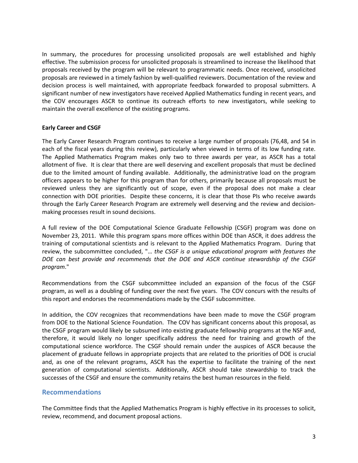In summary, the procedures for processing unsolicited proposals are well established and highly effective. The submission process for unsolicited proposals is streamlined to increase the likelihood that proposals received by the program will be relevant to programmatic needs. Once received, unsolicited proposals are reviewed in a timely fashion by well-qualified reviewers. Documentation of the review and decision process is well maintained, with appropriate feedback forwarded to proposal submitters. A significant number of new investigators have received Applied Mathematics funding in recent years, and the COV encourages ASCR to continue its outreach efforts to new investigators, while seeking to maintain the overall excellence of the existing programs.

## **Early Career and CSGF**

The Early Career Research Program continues to receive a large number of proposals (76,48, and 54 in each of the fiscal years during this review), particularly when viewed in terms of its low funding rate. The Applied Mathematics Program makes only two to three awards per year, as ASCR has a total allotment of five. It is clear that there are well deserving and excellent proposals that must be declined due to the limited amount of funding available. Additionally, the administrative load on the program officers appears to be higher for this program than for others, primarily because all proposals must be reviewed unless they are significantly out of scope, even if the proposal does not make a clear connection with DOE priorities. Despite these concerns, it is clear that those PIs who receive awards through the Early Career Research Program are extremely well deserving and the review and decisionmaking processes result in sound decisions.

A full review of the DOE Computational Science Graduate Fellowship (CSGF) program was done on November 23, 2011. While this program spans more offices within DOE than ASCR, it does address the training of computational scientists and is relevant to the Applied Mathematics Program. During that review, the subcommittee concluded, "… *the CSGF is a unique educational program with features the DOE can best provide and recommends that the DOE and ASCR continue stewardship of the CSGF program*."

Recommendations from the CSGF subcommittee included an expansion of the focus of the CSGF program, as well as a doubling of funding over the next five years. The COV concurs with the results of this report and endorses the recommendations made by the CSGF subcommittee.

In addition, the COV recognizes that recommendations have been made to move the CSGF program from DOE to the National Science Foundation. The COV has significant concerns about this proposal, as the CSGF program would likely be subsumed into existing graduate fellowship programs at the NSF and, therefore, it would likely no longer specifically address the need for training and growth of the computational science workforce. The CSGF should remain under the auspices of ASCR because the placement of graduate fellows in appropriate projects that are related to the priorities of DOE is crucial and, as one of the relevant programs, ASCR has the expertise to facilitate the training of the next generation of computational scientists. Additionally, ASCR should take stewardship to track the successes of the CSGF and ensure the community retains the best human resources in the field.

## **Recommendations**

The Committee finds that the Applied Mathematics Program is highly effective in its processes to solicit, review, recommend, and document proposal actions.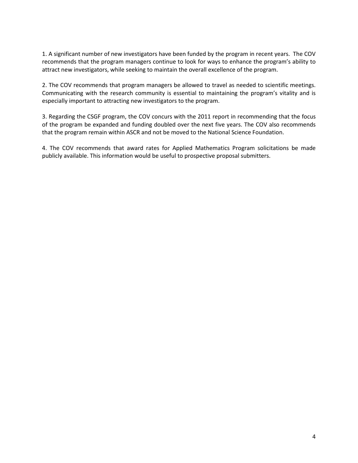1. A significant number of new investigators have been funded by the program in recent years. The COV recommends that the program managers continue to look for ways to enhance the program's ability to attract new investigators, while seeking to maintain the overall excellence of the program.

2. The COV recommends that program managers be allowed to travel as needed to scientific meetings. Communicating with the research community is essential to maintaining the program's vitality and is especially important to attracting new investigators to the program.

3. Regarding the CSGF program, the COV concurs with the 2011 report in recommending that the focus of the program be expanded and funding doubled over the next five years. The COV also recommends that the program remain within ASCR and not be moved to the National Science Foundation.

4. The COV recommends that award rates for Applied Mathematics Program solicitations be made publicly available. This information would be useful to prospective proposal submitters.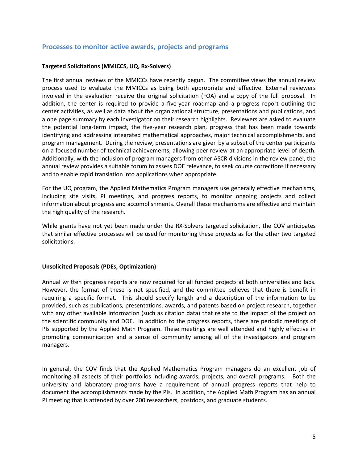## **Processes to monitor active awards, projects and programs**

## **Targeted Solicitations (MMICCS, UQ, Rx-Solvers)**

The first annual reviews of the MMICCs have recently begun. The committee views the annual review process used to evaluate the MMICCs as being both appropriate and effective. External reviewers involved in the evaluation receive the original solicitation (FOA) and a copy of the full proposal. In addition, the center is required to provide a five-year roadmap and a progress report outlining the center activities, as well as data about the organizational structure, presentations and publications, and a one page summary by each investigator on their research highlights. Reviewers are asked to evaluate the potential long-term impact, the five-year research plan, progress that has been made towards identifying and addressing integrated mathematical approaches, major technical accomplishments, and program management. During the review, presentations are given by a subset of the center participants on a focused number of technical achievements, allowing peer review at an appropriate level of depth. Additionally, with the inclusion of program managers from other ASCR divisions in the review panel, the annual review provides a suitable forum to assess DOE relevance, to seek course corrections if necessary and to enable rapid translation into applications when appropriate.

For the UQ program, the Applied Mathematics Program managers use generally effective mechanisms, including site visits, PI meetings, and progress reports, to monitor ongoing projects and collect information about progress and accomplishments. Overall these mechanisms are effective and maintain the high quality of the research.

While grants have not yet been made under the RX-Solvers targeted solicitation, the COV anticipates that similar effective processes will be used for monitoring these projects as for the other two targeted solicitations.

## **Unsolicited Proposals (PDEs, Optimization)**

Annual written progress reports are now required for all funded projects at both universities and labs. However, the format of these is not specified, and the committee believes that there is benefit in requiring a specific format. This should specify length and a description of the information to be provided, such as publications, presentations, awards, and patents based on project research, together with any other available information (such as citation data) that relate to the impact of the project on the scientific community and DOE. In addition to the progress reports, there are periodic meetings of PIs supported by the Applied Math Program. These meetings are well attended and highly effective in promoting communication and a sense of community among all of the investigators and program managers.

In general, the COV finds that the Applied Mathematics Program managers do an excellent job of monitoring all aspects of their portfolios including awards, projects, and overall programs. Both the university and laboratory programs have a requirement of annual progress reports that help to document the accomplishments made by the PIs. In addition, the Applied Math Program has an annual PI meeting that is attended by over 200 researchers, postdocs, and graduate students.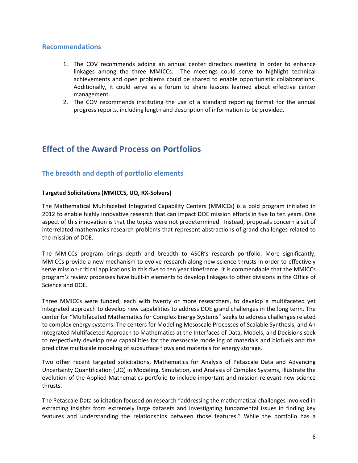## **Recommendations**

- 1. The COV recommends adding an annual center directors meeting In order to enhance linkages among the three MMICCs. The meetings could serve to highlight technical achievements and open problems could be shared to enable opportunistic collaborations. Additionally, it could serve as a forum to share lessons learned about effective center management.
- 2. The COV recommends instituting the use of a standard reporting format for the annual progress reports, including length and description of information to be provided.

# **Effect of the Award Process on Portfolios**

# **The breadth and depth of portfolio elements**

## **Targeted Solicitations (MMICCS, UQ, RX-Solvers)**

The Mathematical Multifaceted Integrated Capability Centers (MMICCs) is a bold program initiated in 2012 to enable highly innovative research that can impact DOE mission efforts in five to ten years. One aspect of this innovation is that the topics were not predetermined. Instead, proposals concern a set of interrelated mathematics research problems that represent abstractions of grand challenges related to the mission of DOE.

The MMICCs program brings depth and breadth to ASCR's research portfolio. More significantly, MMICCs provide a new mechanism to evolve research along new science thrusts in order to effectively serve mission-critical applications in this five to ten year timeframe. It is commendable that the MMICCs program's review processes have built-in elements to develop linkages to other divisions in the Office of Science and DOE.

Three MMICCs were funded; each with twenty or more researchers, to develop a multifaceted yet integrated approach to develop new capabilities to address DOE grand challenges in the long term. The center for "Multifaceted Mathematics for Complex Energy Systems" seeks to address challenges related to complex energy systems. The centers for Modeling Mesoscale Processes of Scalable Synthesis, and An Integrated Multifaceted Approach to Mathematics at the Interfaces of Data, Models, and Decisions seek to respectively develop new capabilities for the mesoscale modeling of materials and biofuels and the predictive multiscale modeling of subsurface flows and materials for energy storage.

Two other recent targeted solicitations, Mathematics for Analysis of Petascale Data and Advancing Uncertainty Quantification (UQ) in Modeling, Simulation, and Analysis of Complex Systems, illustrate the evolution of the Applied Mathematics portfolio to include important and mission-relevant new science thrusts.

The Petascale Data solicitation focused on research "addressing the mathematical challenges involved in extracting insights from extremely large datasets and investigating fundamental issues in finding key features and understanding the relationships between those features." While the portfolio has a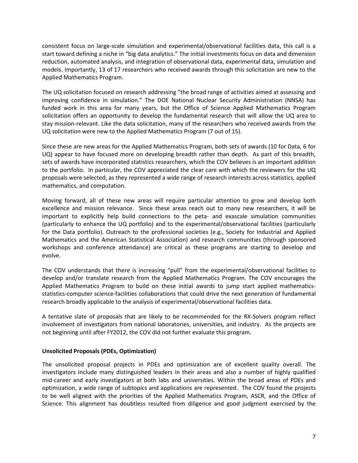consistent focus on large-scale simulation and experimental/observational facilities data, this call is a start toward defining a niche in "big data analytics." The initial investments focus on data and dimension reduction, automated analysis, and integration of observational data, experimental data, simulation and models. Importantly, 13 of 17 researchers who received awards through this solicitation are new to the Applied Mathematics Program.

The UQ solicitation focused on research addressing "the broad range of activities aimed at assessing and improving confidence in simulation." The DOE National Nuclear Security Administration (NNSA) has funded work in this area for many years, but the Office of Science Applied Mathematics Program solicitation offers an opportunity to develop the fundamental research that will allow the UQ area to stay mission-relevant. Like the data solicitation, many of the researchers who received awards from the UQ solicitation were new to the Applied Mathematics Program (7 out of 15).

Since these are new areas for the Applied Mathematics Program, both sets of awards (10 for Data, 6 for UQ) appear to have focused more on developing breadth rather than depth. As part of this breadth, sets of awards have incorporated statistics researchers, which the COV believes is an important addition to the portfolio. In particular, the COV appreciated the clear care with which the reviewers for the UQ proposals were selected, as they represented a wide range of research interests across statistics, applied mathematics, and computation.

Moving forward, all of these new areas will require particular attention to grow and develop both excellence and mission relevance. Since these areas reach out to many new researchers, it will be important to explicitly help build connections to the peta- and exascale simulation communities (particularly to enhance the UQ portfolio) and to the experimental/observational facilities (particularly for the Data portfolio). Outreach to the professional societies (e.g., Society for Industrial and Applied Mathematics and the American Statistical Association) and research communities (through sponsored workshops and conference attendance) are critical as these programs are starting to develop and evolve.

The COV understands that there is increasing "pull" from the experimental/observational facilities to develop and/or translate research from the Applied Mathematics Program. The COV encourages the Applied Mathematics Program to build on these initial awards to jump start applied mathematicsstatistics-computer science-facilities collaborations that could drive the next generation of fundamental research broadly applicable to the analysis of experimental/observational facilities data.

A tentative slate of proposals that are likely to be recommended for the RX-Solvers program reflect involvement of investigators from national laboratories, universities, and industry. As the projects are not beginning until after FY2012, the COV did not further evaluate this program.

## **Unsolicited Proposals (PDEs, Optimization)**

The unsolicited proposal projects in PDEs and optimization are of excellent quality overall. The investigators include many distinguished leaders in their areas and also a number of highly qualified mid-career and early investigators at both labs and universities. Within the broad areas of PDEs and optimization, a wide range of subtopics and applications are represented. The COV found the projects to be well aligned with the priorities of the Applied Mathematics Program, ASCR, and the Office of Science. This alignment has doubtless resulted from diligence and good judgment exercised by the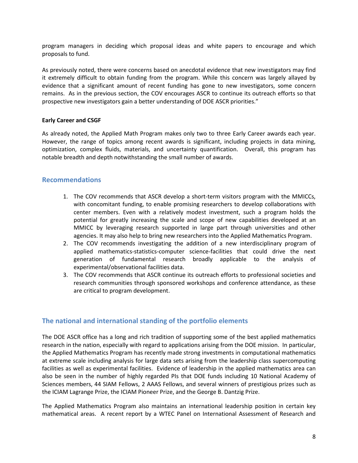program managers in deciding which proposal ideas and white papers to encourage and which proposals to fund.

As previously noted, there were concerns based on anecdotal evidence that new investigators may find it extremely difficult to obtain funding from the program. While this concern was largely allayed by evidence that a significant amount of recent funding has gone to new investigators, some concern remains. As in the previous section, the COV encourages ASCR to continue its outreach efforts so that prospective new investigators gain a better understanding of DOE ASCR priorities."

## **Early Career and CSGF**

As already noted, the Applied Math Program makes only two to three Early Career awards each year. However, the range of topics among recent awards is significant, including projects in data mining, optimization, complex fluids, materials, and uncertainty quantification. Overall, this program has notable breadth and depth notwithstanding the small number of awards.

## **Recommendations**

- 1. The COV recommends that ASCR develop a short-term visitors program with the MMICCs, with concomitant funding, to enable promising researchers to develop collaborations with center members. Even with a relatively modest investment, such a program holds the potential for greatly increasing the scale and scope of new capabilities developed at an MMICC by leveraging research supported in large part through universities and other agencies. It may also help to bring new researchers into the Applied Mathematics Program.
- 2. The COV recommends investigating the addition of a new interdisciplinary program of applied mathematics-statistics-computer science-facilities that could drive the next generation of fundamental research broadly applicable to the analysis of experimental/observational facilities data.
- 3. The COV recommends that ASCR continue its outreach efforts to professional societies and research communities through sponsored workshops and conference attendance, as these are critical to program development.

# **The national and international standing of the portfolio elements**

The DOE ASCR office has a long and rich tradition of supporting some of the best applied mathematics research in the nation, especially with regard to applications arising from the DOE mission. In particular, the Applied Mathematics Program has recently made strong investments in computational mathematics at extreme scale including analysis for large data sets arising from the leadership class supercomputing facilities as well as experimental facilities. Evidence of leadership in the applied mathematics area can also be seen in the number of highly regarded PIs that DOE funds including 10 National Academy of Sciences members, 44 SIAM Fellows, 2 AAAS Fellows, and several winners of prestigious prizes such as the ICIAM Lagrange Prize, the ICIAM Pioneer Prize, and the George B. Dantzig Prize.

The Applied Mathematics Program also maintains an international leadership position in certain key mathematical areas. A recent report by a WTEC Panel on International Assessment of Research and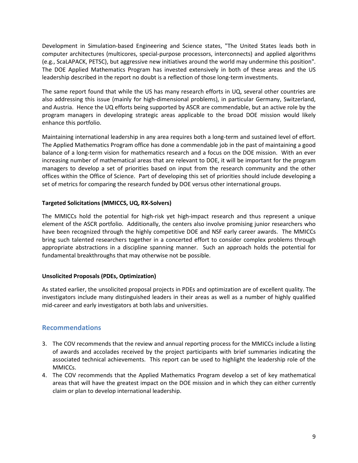Development in Simulation-based Engineering and Science states, "The United States leads both in computer architectures (multicores, special-purpose processors, interconnects) and applied algorithms (e.g., ScaLAPACK, PETSC), but aggressive new initiatives around the world may undermine this position". The DOE Applied Mathematics Program has invested extensively in both of these areas and the US leadership described in the report no doubt is a reflection of those long-term investments.

The same report found that while the US has many research efforts in UQ, several other countries are also addressing this issue (mainly for high-dimensional problems), in particular Germany, Switzerland, and Austria. Hence the UQ efforts being supported by ASCR are commendable, but an active role by the program managers in developing strategic areas applicable to the broad DOE mission would likely enhance this portfolio.

Maintaining international leadership in any area requires both a long-term and sustained level of effort. The Applied Mathematics Program office has done a commendable job in the past of maintaining a good balance of a long-term vision for mathematics research and a focus on the DOE mission. With an ever increasing number of mathematical areas that are relevant to DOE, it will be important for the program managers to develop a set of priorities based on input from the research community and the other offices within the Office of Science. Part of developing this set of priorities should include developing a set of metrics for comparing the research funded by DOE versus other international groups.

## **Targeted Solicitations (MMICCS, UQ, RX-Solvers)**

The MMICCs hold the potential for high-risk yet high-impact research and thus represent a unique element of the ASCR portfolio. Additionally, the centers also involve promising junior researchers who have been recognized through the highly competitive DOE and NSF early career awards. The MMICCs bring such talented researchers together in a concerted effort to consider complex problems through appropriate abstractions in a discipline spanning manner. Such an approach holds the potential for fundamental breakthroughs that may otherwise not be possible.

## **Unsolicited Proposals (PDEs, Optimization)**

As stated earlier, the unsolicited proposal projects in PDEs and optimization are of excellent quality. The investigators include many distinguished leaders in their areas as well as a number of highly qualified mid-career and early investigators at both labs and universities.

# **Recommendations**

- 3. The COV recommends that the review and annual reporting process for the MMICCs include a listing of awards and accolades received by the project participants with brief summaries indicating the associated technical achievements. This report can be used to highlight the leadership role of the MMICCs.
- 4. The COV recommends that the Applied Mathematics Program develop a set of key mathematical areas that will have the greatest impact on the DOE mission and in which they can either currently claim or plan to develop international leadership.